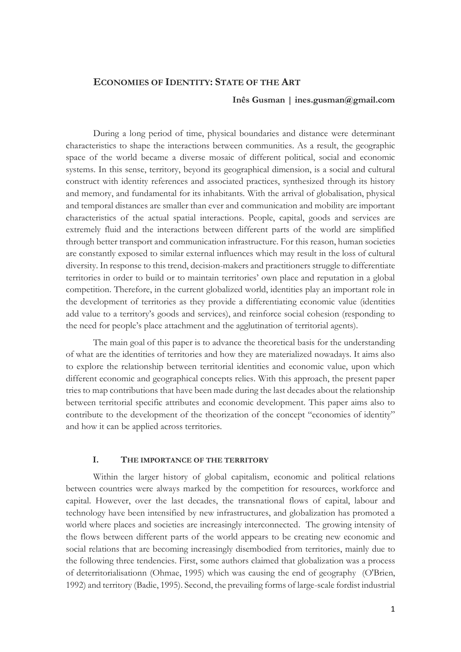# **ECONOMIES OF IDENTITY: STATE OF THE ART**

# **Inês Gusman | ines.gusman@gmail.com**

During a long period of time, physical boundaries and distance were determinant characteristics to shape the interactions between communities. As a result, the geographic space of the world became a diverse mosaic of different political, social and economic systems. In this sense, territory, beyond its geographical dimension, is a social and cultural construct with identity references and associated practices, synthesized through its history and memory, and fundamental for its inhabitants. With the arrival of globalisation, physical and temporal distances are smaller than ever and communication and mobility are important characteristics of the actual spatial interactions. People, capital, goods and services are extremely fluid and the interactions between different parts of the world are simplified through better transport and communication infrastructure. For this reason, human societies are constantly exposed to similar external influences which may result in the loss of cultural diversity. In response to this trend, decision-makers and practitioners struggle to differentiate territories in order to build or to maintain territories' own place and reputation in a global competition. Therefore, in the current globalized world, identities play an important role in the development of territories as they provide a differentiating economic value (identities add value to a territory's goods and services), and reinforce social cohesion (responding to the need for people's place attachment and the agglutination of territorial agents).

The main goal of this paper is to advance the theoretical basis for the understanding of what are the identities of territories and how they are materialized nowadays. It aims also to explore the relationship between territorial identities and economic value, upon which different economic and geographical concepts relies. With this approach, the present paper tries to map contributions that have been made during the last decades about the relationship between territorial specific attributes and economic development. This paper aims also to contribute to the development of the theorization of the concept "economies of identity" and how it can be applied across territories.

### **I. THE IMPORTANCE OF THE TERRITORY**

Within the larger history of global capitalism, economic and political relations between countries were always marked by the competition for resources, workforce and capital. However, over the last decades, the transnational flows of capital, labour and technology have been intensified by new infrastructures, and globalization has promoted a world where places and societies are increasingly interconnected. The growing intensity of the flows between different parts of the world appears to be creating new economic and social relations that are becoming increasingly disembodied from territories, mainly due to the following three tendencies. First, some authors claimed that globalization was a process of deterritorialisationn (Ohmae, 1995) which was causing the end of geography (O'Brien, 1992) and territory (Badie, 1995). Second, the prevailing forms of large-scale fordist industrial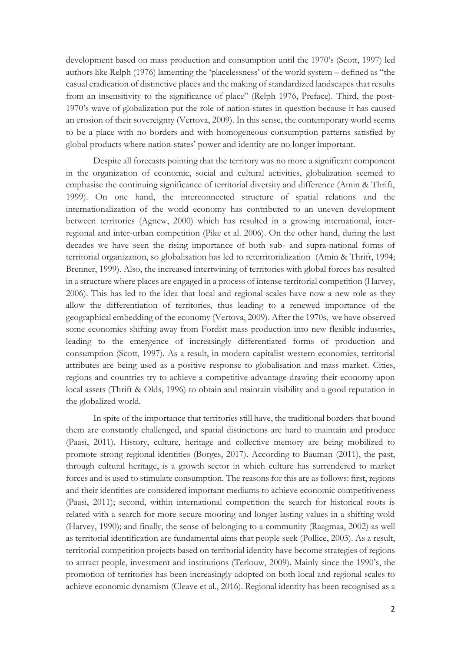development based on mass production and consumption until the 1970's (Scott, 1997) led authors like Relph (1976) lamenting the 'placelessness' of the world system – defined as "the casual eradication of distinctive places and the making of standardized landscapes that results from an insensitivity to the significance of place" (Relph 1976, Preface). Third, the post-1970's wave of globalization put the role of nation-states in question because it has caused an erosion of their sovereignty (Vertova, 2009). In this sense, the contemporary world seems to be a place with no borders and with homogeneous consumption patterns satisfied by global products where nation-states' power and identity are no longer important.

Despite all forecasts pointing that the territory was no more a significant component in the organization of economic, social and cultural activities, globalization seemed to emphasise the continuing significance of territorial diversity and difference (Amin & Thrift, 1999). On one hand, the interconnected structure of spatial relations and the internationalization of the world economy has contributed to an uneven development between territories (Agnew, 2000) which has resulted in a growing international, interregional and inter-urban competition (Pike et al. 2006). On the other hand, during the last decades we have seen the rising importance of both sub- and supra-national forms of territorial organization, so globalisation has led to reterritorialization (Amin & Thrift, 1994; Brenner, 1999). Also, the increased intertwining of territories with global forces has resulted in a structure where places are engaged in a process of intense territorial competition (Harvey, 2006). This has led to the idea that local and regional scales have now a new role as they allow the differentiation of territories, thus leading to a renewed importance of the geographical embedding of the economy (Vertova, 2009). After the 1970s, we have observed some economies shifting away from Fordist mass production into new flexible industries, leading to the emergence of increasingly differentiated forms of production and consumption (Scott, 1997). As a result, in modern capitalist western economies, territorial attributes are being used as a positive response to globalisation and mass market. Cities, regions and countries try to achieve a competitive advantage drawing their economy upon local assets (Thrift & Olds, 1996) to obtain and maintain visibility and a good reputation in the globalized world.

In spite of the importance that territories still have, the traditional borders that bound them are constantly challenged, and spatial distinctions are hard to maintain and produce (Paasi, 2011). History, culture, heritage and collective memory are being mobilized to promote strong regional identities (Borges, 2017). According to Bauman (2011), the past, through cultural heritage, is a growth sector in which culture has surrendered to market forces and is used to stimulate consumption. The reasons for this are as follows: first, regions and their identities are considered important mediums to achieve economic competitiveness (Paasi, 2011); second, within international competition the search for historical roots is related with a search for more secure mooring and longer lasting values in a shifting wold (Harvey, 1990); and finally, the sense of belonging to a community (Raagmaa, 2002) as well as territorial identification are fundamental aims that people seek (Pollice, 2003). As a result, territorial competition projects based on territorial identity have become strategies of regions to attract people, investment and institutions (Terlouw, 2009). Mainly since the 1990's, the promotion of territories has been increasingly adopted on both local and regional scales to achieve economic dynamism (Cleave et al., 2016). Regional identity has been recognised as a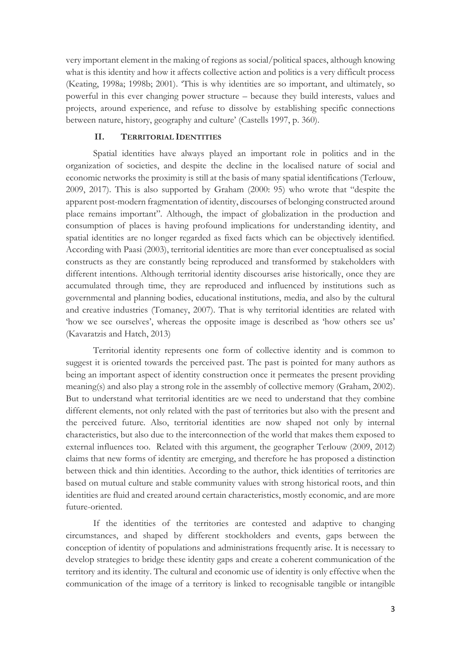very important element in the making of regions as social/political spaces, although knowing what is this identity and how it affects collective action and politics is a very difficult process (Keating, 1998a; 1998b; 2001). 'This is why identities are so important, and ultimately, so powerful in this ever changing power structure – because they build interests, values and projects, around experience, and refuse to dissolve by establishing specific connections between nature, history, geography and culture' (Castells 1997, p. 360).

# **II. TERRITORIAL IDENTITIES**

Spatial identities have always played an important role in politics and in the organization of societies, and despite the decline in the localised nature of social and economic networks the proximity is still at the basis of many spatial identifications (Terlouw, 2009, 2017). This is also supported by Graham (2000: 95) who wrote that "despite the apparent post-modern fragmentation of identity, discourses of belonging constructed around place remains important". Although, the impact of globalization in the production and consumption of places is having profound implications for understanding identity, and spatial identities are no longer regarded as fixed facts which can be objectively identified. According with Paasi (2003), territorial identities are more than ever conceptualised as social constructs as they are constantly being reproduced and transformed by stakeholders with different intentions. Although territorial identity discourses arise historically, once they are accumulated through time, they are reproduced and influenced by institutions such as governmental and planning bodies, educational institutions, media, and also by the cultural and creative industries (Tomaney, 2007). That is why territorial identities are related with 'how we see ourselves', whereas the opposite image is described as 'how others see us' (Kavaratzis and Hatch, 2013)

Territorial identity represents one form of collective identity and is common to suggest it is oriented towards the perceived past. The past is pointed for many authors as being an important aspect of identity construction once it permeates the present providing meaning(s) and also play a strong role in the assembly of collective memory (Graham, 2002). But to understand what territorial identities are we need to understand that they combine different elements, not only related with the past of territories but also with the present and the perceived future. Also, territorial identities are now shaped not only by internal characteristics, but also due to the interconnection of the world that makes them exposed to external influences too. Related with this argument, the geographer Terlouw (2009, 2012) claims that new forms of identity are emerging, and therefore he has proposed a distinction between thick and thin identities. According to the author, thick identities of territories are based on mutual culture and stable community values with strong historical roots, and thin identities are fluid and created around certain characteristics, mostly economic, and are more future-oriented.

If the identities of the territories are contested and adaptive to changing circumstances, and shaped by different stockholders and events, gaps between the conception of identity of populations and administrations frequently arise. It is necessary to develop strategies to bridge these identity gaps and create a coherent communication of the territory and its identity. The cultural and economic use of identity is only effective when the communication of the image of a territory is linked to recognisable tangible or intangible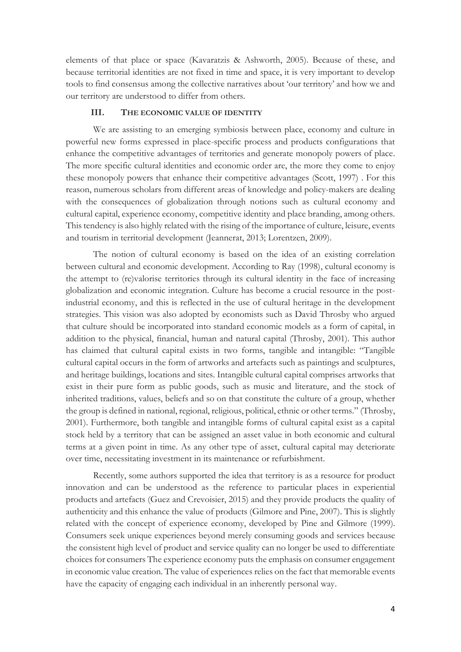elements of that place or space (Kavaratzis & Ashworth, 2005). Because of these, and because territorial identities are not fixed in time and space, it is very important to develop tools to find consensus among the collective narratives about 'our territory' and how we and our territory are understood to differ from others.

### **III. THE ECONOMIC VALUE OF IDENTITY**

We are assisting to an emerging symbiosis between place, economy and culture in powerful new forms expressed in place-specific process and products configurations that enhance the competitive advantages of territories and generate monopoly powers of place. The more specific cultural identities and economic order are, the more they come to enjoy these monopoly powers that enhance their competitive advantages (Scott, 1997) . For this reason, numerous scholars from different areas of knowledge and policy-makers are dealing with the consequences of globalization through notions such as cultural economy and cultural capital, experience economy, competitive identity and place branding, among others. This tendency is also highly related with the rising of the importance of culture, leisure, events and tourism in territorial development (Jeannerat, 2013; Lorentzen, 2009).

The notion of cultural economy is based on the idea of an existing correlation between cultural and economic development. According to Ray (1998), cultural economy is the attempt to (re)valorise territories through its cultural identity in the face of increasing globalization and economic integration. Culture has become a crucial resource in the postindustrial economy, and this is reflected in the use of cultural heritage in the development strategies. This vision was also adopted by economists such as David Throsby who argued that culture should be incorporated into standard economic models as a form of capital, in addition to the physical, financial, human and natural capital (Throsby, 2001). This author has claimed that cultural capital exists in two forms, tangible and intangible: "Tangible cultural capital occurs in the form of artworks and artefacts such as paintings and sculptures, and heritage buildings, locations and sites. Intangible cultural capital comprises artworks that exist in their pure form as public goods, such as music and literature, and the stock of inherited traditions, values, beliefs and so on that constitute the culture of a group, whether the group is defined in national, regional, religious, political, ethnic or other terms." (Throsby, 2001). Furthermore, both tangible and intangible forms of cultural capital exist as a capital stock held by a territory that can be assigned an asset value in both economic and cultural terms at a given point in time. As any other type of asset, cultural capital may deteriorate over time, necessitating investment in its maintenance or refurbishment.

Recently, some authors supported the idea that territory is as a resource for product innovation and can be understood as the reference to particular places in experiential products and artefacts (Guez and Crevoisier, 2015) and they provide products the quality of authenticity and this enhance the value of products (Gilmore and Pine, 2007). This is slightly related with the concept of experience economy, developed by Pine and Gilmore (1999). Consumers seek unique experiences beyond merely consuming goods and services because the consistent high level of product and service quality can no longer be used to differentiate choices for consumers The experience economy puts the emphasis on consumer engagement in economic value creation. The value of experiences relies on the fact that memorable events have the capacity of engaging each individual in an inherently personal way.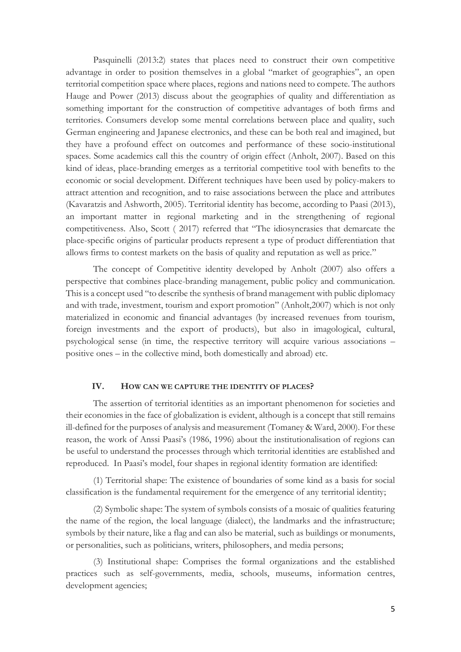Pasquinelli (2013:2) states that places need to construct their own competitive advantage in order to position themselves in a global "market of geographies", an open territorial competition space where places, regions and nations need to compete. The authors Hauge and Power (2013) discuss about the geographies of quality and differentiation as something important for the construction of competitive advantages of both firms and territories. Consumers develop some mental correlations between place and quality, such German engineering and Japanese electronics, and these can be both real and imagined, but they have a profound effect on outcomes and performance of these socio-institutional spaces. Some academics call this the country of origin effect (Anholt, 2007). Based on this kind of ideas, place-branding emerges as a territorial competitive tool with benefits to the economic or social development. Different techniques have been used by policy-makers to attract attention and recognition, and to raise associations between the place and attributes (Kavaratzis and Ashworth, 2005). Territorial identity has become, according to Paasi (2013), an important matter in regional marketing and in the strengthening of regional competitiveness. Also, Scott ( 2017) referred that "The idiosyncrasies that demarcate the place-specific origins of particular products represent a type of product differentiation that allows firms to contest markets on the basis of quality and reputation as well as price."

The concept of Competitive identity developed by Anholt (2007) also offers a perspective that combines place-branding management, public policy and communication. This is a concept used "to describe the synthesis of brand management with public diplomacy and with trade, investment, tourism and export promotion" (Anholt,2007) which is not only materialized in economic and financial advantages (by increased revenues from tourism, foreign investments and the export of products), but also in imagological, cultural, psychological sense (in time, the respective territory will acquire various associations – positive ones – in the collective mind, both domestically and abroad) etc.

# **IV. HOW CAN WE CAPTURE THE IDENTITY OF PLACES?**

The assertion of territorial identities as an important phenomenon for societies and their economies in the face of globalization is evident, although is a concept that still remains ill-defined for the purposes of analysis and measurement (Tomaney & Ward, 2000). For these reason, the work of Anssi Paasi's (1986, 1996) about the institutionalisation of regions can be useful to understand the processes through which territorial identities are established and reproduced. In Paasi's model, four shapes in regional identity formation are identified:

(1) Territorial shape: The existence of boundaries of some kind as a basis for social classification is the fundamental requirement for the emergence of any territorial identity;

(2) Symbolic shape: The system of symbols consists of a mosaic of qualities featuring the name of the region, the local language (dialect), the landmarks and the infrastructure; symbols by their nature, like a flag and can also be material, such as buildings or monuments, or personalities, such as politicians, writers, philosophers, and media persons;

(3) Institutional shape: Comprises the formal organizations and the established practices such as self-governments, media, schools, museums, information centres, development agencies;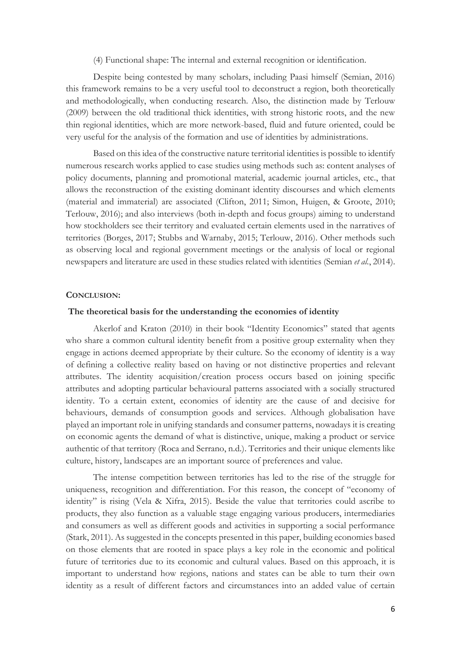(4) Functional shape: The internal and external recognition or identification.

Despite being contested by many scholars, including Paasi himself (Semian, 2016) this framework remains to be a very useful tool to deconstruct a region, both theoretically and methodologically, when conducting research. Also, the distinction made by Terlouw (2009) between the old traditional thick identities, with strong historic roots, and the new thin regional identities, which are more network-based, fluid and future oriented, could be very useful for the analysis of the formation and use of identities by administrations.

Based on this idea of the constructive nature territorial identities is possible to identify numerous research works applied to case studies using methods such as: content analyses of policy documents, planning and promotional material, academic journal articles, etc., that allows the reconstruction of the existing dominant identity discourses and which elements (material and immaterial) are associated (Clifton, 2011; Simon, Huigen, & Groote, 2010; Terlouw, 2016); and also interviews (both in-depth and focus groups) aiming to understand how stockholders see their territory and evaluated certain elements used in the narratives of territories (Borges, 2017; Stubbs and Warnaby, 2015; Terlouw, 2016). Other methods such as observing local and regional government meetings or the analysis of local or regional newspapers and literature are used in these studies related with identities (Semian *et al.*, 2014).

#### **CONCLUSION:**

#### **The theoretical basis for the understanding the economies of identity**

Akerlof and Kraton (2010) in their book "Identity Economics" stated that agents who share a common cultural identity benefit from a positive group externality when they engage in actions deemed appropriate by their culture. So the economy of identity is a way of defining a collective reality based on having or not distinctive properties and relevant attributes. The identity acquisition/creation process occurs based on joining specific attributes and adopting particular behavioural patterns associated with a socially structured identity. To a certain extent, economies of identity are the cause of and decisive for behaviours, demands of consumption goods and services. Although globalisation have played an important role in unifying standards and consumer patterns, nowadays it is creating on economic agents the demand of what is distinctive, unique, making a product or service authentic of that territory (Roca and Serrano, n.d.). Territories and their unique elements like culture, history, landscapes are an important source of preferences and value.

The intense competition between territories has led to the rise of the struggle for uniqueness, recognition and differentiation. For this reason, the concept of "economy of identity" is rising (Vela & Xifra, 2015). Beside the value that territories could ascribe to products, they also function as a valuable stage engaging various producers, intermediaries and consumers as well as different goods and activities in supporting a social performance (Stark, 2011). As suggested in the concepts presented in this paper, building economies based on those elements that are rooted in space plays a key role in the economic and political future of territories due to its economic and cultural values. Based on this approach, it is important to understand how regions, nations and states can be able to turn their own identity as a result of different factors and circumstances into an added value of certain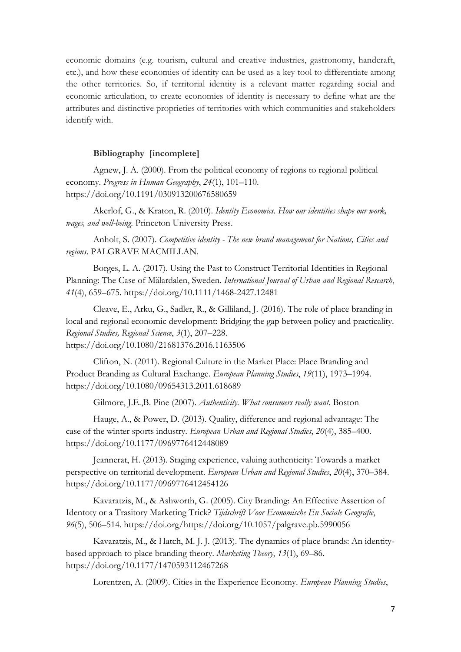economic domains (e.g. tourism, cultural and creative industries, gastronomy, handcraft, etc.), and how these economies of identity can be used as a key tool to differentiate among the other territories. So, if territorial identity is a relevant matter regarding social and economic articulation, to create economies of identity is necessary to define what are the attributes and distinctive proprieties of territories with which communities and stakeholders identify with.

### **Bibliography [incomplete]**

Agnew, J. A. (2000). From the political economy of regions to regional political economy. *Progress in Human Geography*, *24*(1), 101–110. https://doi.org/10.1191/030913200676580659

Akerlof, G., & Kraton, R. (2010). *Identity Economics. How our identities shape our work, wages, and well-being*. Princeton University Press.

Anholt, S. (2007). *Competitive identity - The new brand management for Nations, Cities and regions*. PALGRAVE MACMILLAN.

Borges, L. A. (2017). Using the Past to Construct Territorial Identities in Regional Planning: The Case of Mälardalen, Sweden. *International Journal of Urban and Regional Research*, *41*(4), 659–675. https://doi.org/10.1111/1468-2427.12481

Cleave, E., Arku, G., Sadler, R., & Gilliland, J. (2016). The role of place branding in local and regional economic development: Bridging the gap between policy and practicality. *Regional Studies, Regional Science*, *3*(1), 207–228. https://doi.org/10.1080/21681376.2016.1163506

Clifton, N. (2011). Regional Culture in the Market Place: Place Branding and Product Branding as Cultural Exchange. *European Planning Studies*, *19*(11), 1973–1994. https://doi.org/10.1080/09654313.2011.618689

Gilmore, J.E.,B. Pine (2007). *Authenticity. What consumers really want*. Boston

Hauge, A., & Power, D. (2013). Quality, difference and regional advantage: The case of the winter sports industry. *European Urban and Regional Studies*, *20*(4), 385–400. https://doi.org/10.1177/0969776412448089

Jeannerat, H. (2013). Staging experience, valuing authenticity: Towards a market perspective on territorial development. *European Urban and Regional Studies*, *20*(4), 370–384. https://doi.org/10.1177/0969776412454126

Kavaratzis, M., & Ashworth, G. (2005). City Branding: An Effective Assertion of Identoty or a Trasitory Marketing Trick? *Tijdschrift Voor Economische En Sociale Geografie*, *96*(5), 506–514. https://doi.org/https://doi.org/10.1057/palgrave.pb.5990056

Kavaratzis, M., & Hatch, M. J. J. (2013). The dynamics of place brands: An identitybased approach to place branding theory. *Marketing Theory*, *13*(1), 69–86. https://doi.org/10.1177/1470593112467268

Lorentzen, A. (2009). Cities in the Experience Economy. *European Planning Studies*,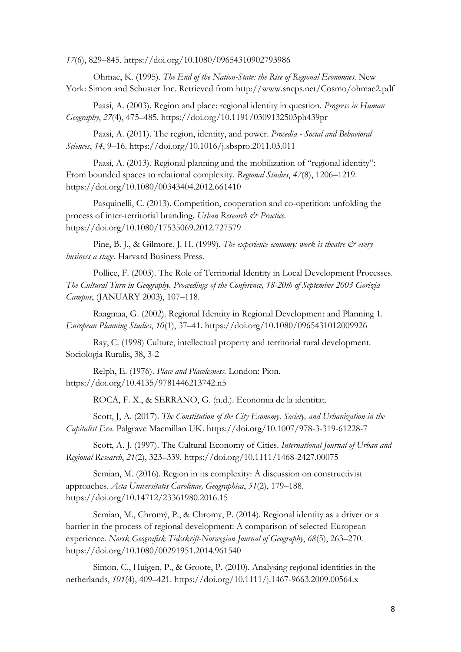*17*(6), 829–845. https://doi.org/10.1080/09654310902793986

Ohmae, K. (1995). *The End of the Nation-State: the Rise of Regional Economies*. New York: Simon and Schuster Inc. Retrieved from http://www.sneps.net/Cosmo/ohmae2.pdf

Paasi, A. (2003). Region and place: regional identity in question. *Progress in Human Geography*, *27*(4), 475–485. https://doi.org/10.1191/0309132503ph439pr

Paasi, A. (2011). The region, identity, and power. *Procedia - Social and Behavioral Sciences*, *14*, 9–16. https://doi.org/10.1016/j.sbspro.2011.03.011

Paasi, A. (2013). Regional planning and the mobilization of "regional identity": From bounded spaces to relational complexity. *Regional Studies*, *47*(8), 1206–1219. https://doi.org/10.1080/00343404.2012.661410

Pasquinelli, C. (2013). Competition, cooperation and co-opetition: unfolding the process of inter-territorial branding. *Urban Research & Practice*. https://doi.org/10.1080/17535069.2012.727579

Pine, B. J., & Gilmore, J. H. (1999). *The experience economy: work is theatre*  $\mathcal{O}^*$  *every business a stage.* Harvard Business Press.

Pollice, F. (2003). The Role of Territorial Identity in Local Development Processes. *The Cultural Turn in Geography. Proceedings of the Conference, 18-20th of September 2003 Gorizia Campus*, (JANUARY 2003), 107–118.

Raagmaa, G. (2002). Regional Identity in Regional Development and Planning 1. *European Planning Studies*, *10*(1), 37–41. https://doi.org/10.1080/0965431012009926

Ray, C. (1998) Culture, intellectual property and territorial rural development. Sociologia Ruralis, 38, 3-2

Relph, E. (1976). *Place and Placelesness*. London: Pion. https://doi.org/10.4135/9781446213742.n5

ROCA, F. X., & SERRANO, G. (n.d.). Economia de la identitat.

Scott, J, A. (2017). *The Constitution of the City Economy, Society, and Urbanization in the Capitalist Era*. Palgrave Macmillan UK. https://doi.org/10.1007/978-3-319-61228-7

Scott, A. J. (1997). The Cultural Economy of Cities. *International Journal of Urban and Regional Research*, *21*(2), 323–339. https://doi.org/10.1111/1468-2427.00075

Semian, M. (2016). Region in its complexity: A discussion on constructivist approaches. *Acta Universitatis Carolinae, Geographica*, *51*(2), 179–188. https://doi.org/10.14712/23361980.2016.15

Semian, M., Chromý, P., & Chromy, P. (2014). Regional identity as a driver or a barrier in the process of regional development: A comparison of selected European experience. *Norsk Geografisk Tidsskrift-Norwegian Journal of Geography*, *68*(5), 263–270. https://doi.org/10.1080/00291951.2014.961540

Simon, C., Huigen, P., & Groote, P. (2010). Analysing regional identities in the netherlands, *101*(4), 409–421. https://doi.org/10.1111/j.1467-9663.2009.00564.x